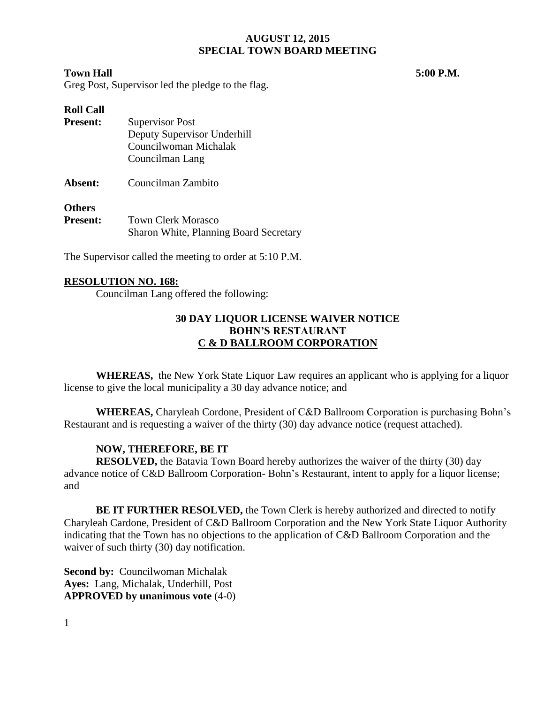#### **Town Hall 5:00 P.M.**

Greg Post, Supervisor led the pledge to the flag.

# **Roll Call Present:** Supervisor Post Deputy Supervisor Underhill Councilwoman Michalak Councilman Lang **Absent:** Councilman Zambito **Others**

| vuuts           |                                        |  |  |
|-----------------|----------------------------------------|--|--|
| <b>Present:</b> | <b>Town Clerk Morasco</b>              |  |  |
|                 | Sharon White, Planning Board Secretary |  |  |

The Supervisor called the meeting to order at 5:10 P.M.

## **RESOLUTION NO. 168:**

Councilman Lang offered the following:

## **30 DAY LIQUOR LICENSE WAIVER NOTICE BOHN'S RESTAURANT C & D BALLROOM CORPORATION**

**WHEREAS,** the New York State Liquor Law requires an applicant who is applying for a liquor license to give the local municipality a 30 day advance notice; and

**WHEREAS,** Charyleah Cordone, President of C&D Ballroom Corporation is purchasing Bohn's Restaurant and is requesting a waiver of the thirty (30) day advance notice (request attached).

## **NOW, THEREFORE, BE IT**

**RESOLVED,** the Batavia Town Board hereby authorizes the waiver of the thirty (30) day advance notice of C&D Ballroom Corporation- Bohn's Restaurant, intent to apply for a liquor license; and

**BE IT FURTHER RESOLVED,** the Town Clerk is hereby authorized and directed to notify Charyleah Cardone, President of C&D Ballroom Corporation and the New York State Liquor Authority indicating that the Town has no objections to the application of C&D Ballroom Corporation and the waiver of such thirty (30) day notification.

**Second by:** Councilwoman Michalak **Ayes:** Lang, Michalak, Underhill, Post **APPROVED by unanimous vote** (4-0)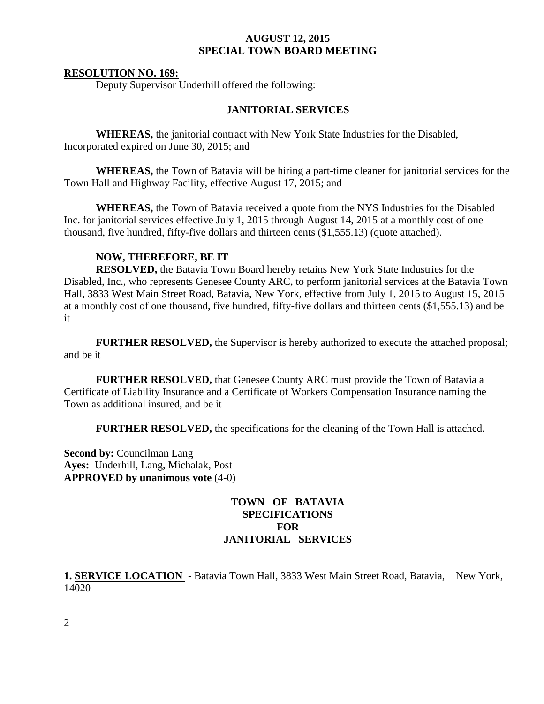#### **RESOLUTION NO. 169:**

Deputy Supervisor Underhill offered the following:

#### **JANITORIAL SERVICES**

**WHEREAS,** the janitorial contract with New York State Industries for the Disabled, Incorporated expired on June 30, 2015; and

**WHEREAS,** the Town of Batavia will be hiring a part-time cleaner for janitorial services for the Town Hall and Highway Facility, effective August 17, 2015; and

**WHEREAS,** the Town of Batavia received a quote from the NYS Industries for the Disabled Inc. for janitorial services effective July 1, 2015 through August 14, 2015 at a monthly cost of one thousand, five hundred, fifty-five dollars and thirteen cents (\$1,555.13) (quote attached).

## **NOW, THEREFORE, BE IT**

**RESOLVED,** the Batavia Town Board hereby retains New York State Industries for the Disabled, Inc., who represents Genesee County ARC, to perform janitorial services at the Batavia Town Hall, 3833 West Main Street Road, Batavia, New York, effective from July 1, 2015 to August 15, 2015 at a monthly cost of one thousand, five hundred, fifty-five dollars and thirteen cents (\$1,555.13) and be it

**FURTHER RESOLVED,** the Supervisor is hereby authorized to execute the attached proposal; and be it

**FURTHER RESOLVED,** that Genesee County ARC must provide the Town of Batavia a Certificate of Liability Insurance and a Certificate of Workers Compensation Insurance naming the Town as additional insured, and be it

**FURTHER RESOLVED, the specifications for the cleaning of the Town Hall is attached.** 

**Second by:** Councilman Lang **Ayes:** Underhill, Lang, Michalak, Post **APPROVED by unanimous vote** (4-0)

## **TOWN OF BATAVIA SPECIFICATIONS FOR JANITORIAL SERVICES**

**1. SERVICE LOCATION** - Batavia Town Hall, 3833 West Main Street Road, Batavia, New York, 14020

2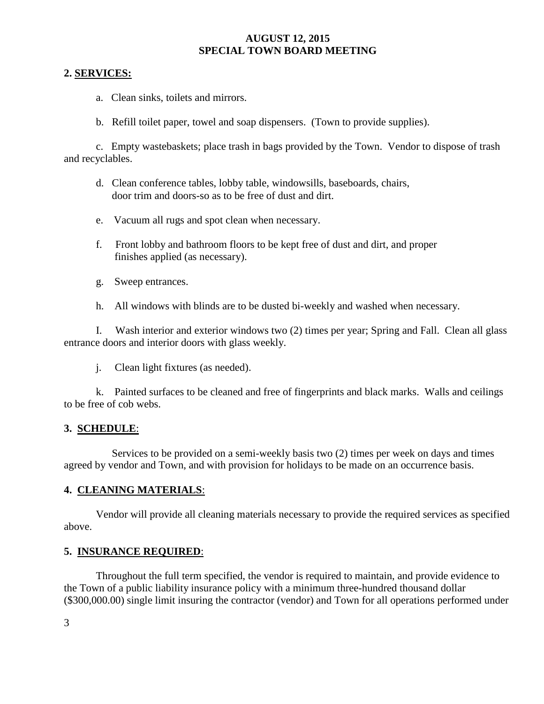## **2. SERVICES:**

- a. Clean sinks, toilets and mirrors.
- b. Refill toilet paper, towel and soap dispensers. (Town to provide supplies).

c. Empty wastebaskets; place trash in bags provided by the Town. Vendor to dispose of trash and recyclables.

- d. Clean conference tables, lobby table, windowsills, baseboards, chairs, door trim and doors-so as to be free of dust and dirt.
- e. Vacuum all rugs and spot clean when necessary.
- f. Front lobby and bathroom floors to be kept free of dust and dirt, and proper finishes applied (as necessary).
- g. Sweep entrances.
- h. All windows with blinds are to be dusted bi-weekly and washed when necessary.

I. Wash interior and exterior windows two (2) times per year; Spring and Fall. Clean all glass entrance doors and interior doors with glass weekly.

j. Clean light fixtures (as needed).

k. Painted surfaces to be cleaned and free of fingerprints and black marks. Walls and ceilings to be free of cob webs.

# **3. SCHEDULE**:

 Services to be provided on a semi-weekly basis two (2) times per week on days and times agreed by vendor and Town, and with provision for holidays to be made on an occurrence basis.

## **4. CLEANING MATERIALS**:

Vendor will provide all cleaning materials necessary to provide the required services as specified above.

## **5. INSURANCE REQUIRED**:

Throughout the full term specified, the vendor is required to maintain, and provide evidence to the Town of a public liability insurance policy with a minimum three-hundred thousand dollar (\$300,000.00) single limit insuring the contractor (vendor) and Town for all operations performed under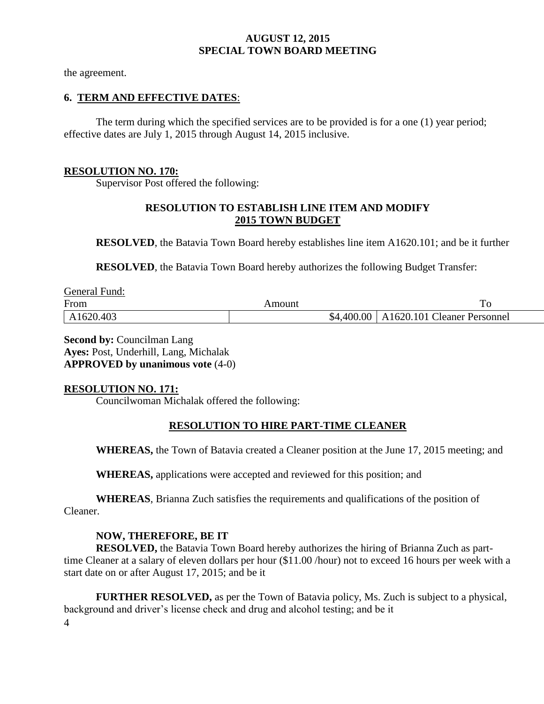the agreement.

## **6. TERM AND EFFECTIVE DATES**:

The term during which the specified services are to be provided is for a one (1) year period; effective dates are July 1, 2015 through August 14, 2015 inclusive.

## **RESOLUTION NO. 170:**

Supervisor Post offered the following:

# **RESOLUTION TO ESTABLISH LINE ITEM AND MODIFY 2015 TOWN BUDGET**

**RESOLVED**, the Batavia Town Board hereby establishes line item A1620.101; and be it further

**RESOLVED**, the Batavia Town Board hereby authorizes the following Budget Transfer:

| General Fund: |        |                                          |
|---------------|--------|------------------------------------------|
| From          | Amount | To                                       |
| A1620.403     |        | \$4,400.00   A1620.101 Cleaner Personnel |

**Second by:** Councilman Lang **Ayes:** Post, Underhill, Lang, Michalak **APPROVED by unanimous vote** (4-0)

## **RESOLUTION NO. 171:**

Councilwoman Michalak offered the following:

## **RESOLUTION TO HIRE PART-TIME CLEANER**

**WHEREAS,** the Town of Batavia created a Cleaner position at the June 17, 2015 meeting; and

**WHEREAS,** applications were accepted and reviewed for this position; and

**WHEREAS**, Brianna Zuch satisfies the requirements and qualifications of the position of Cleaner.

## **NOW, THEREFORE, BE IT**

**RESOLVED,** the Batavia Town Board hereby authorizes the hiring of Brianna Zuch as parttime Cleaner at a salary of eleven dollars per hour (\$11.00 /hour) not to exceed 16 hours per week with a start date on or after August 17, 2015; and be it

4 **FURTHER RESOLVED,** as per the Town of Batavia policy, Ms. Zuch is subject to a physical, background and driver's license check and drug and alcohol testing; and be it